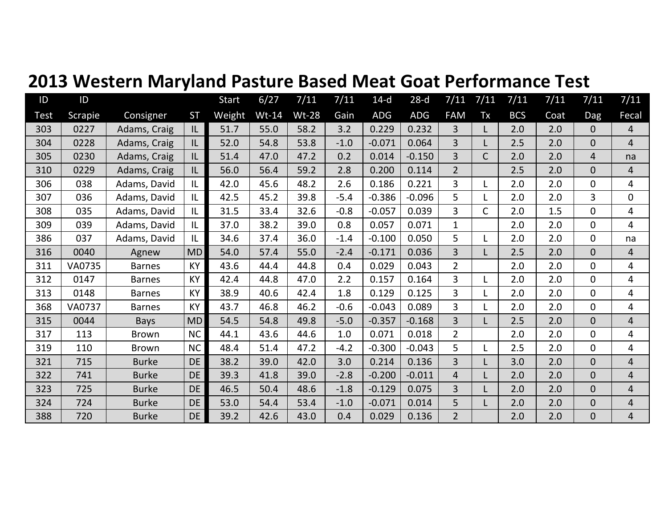|  | 2013 Western Maryland Pasture Based Meat Goat Performance Test |  |
|--|----------------------------------------------------------------|--|
|--|----------------------------------------------------------------|--|

| ID   | ID             |               |           | <b>Start</b> | 6/27    | 7/11         | 7/11   | $14-d$   | $28-d$   | 7/11           | 7/11         | 7/11       | 7/11 | 7/11           | 7/11           |
|------|----------------|---------------|-----------|--------------|---------|--------------|--------|----------|----------|----------------|--------------|------------|------|----------------|----------------|
| Test | <b>Scrapie</b> | Consigner     | <b>ST</b> | Weight       | $Wt-14$ | <b>Wt-28</b> | Gain   | ADG      | ADG      | <b>FAM</b>     | Tx           | <b>BCS</b> | Coat | Dag            | Fecal          |
| 303  | 0227           | Adams, Craig  | IL        | 51.7         | 55.0    | 58.2         | 3.2    | 0.229    | 0.232    | $\overline{3}$ | L            | 2.0        | 2.0  | 0              | $\overline{4}$ |
| 304  | 0228           | Adams, Craig  | IL        | 52.0         | 54.8    | 53.8         | $-1.0$ | $-0.071$ | 0.064    | $\overline{3}$ |              | 2.5        | 2.0  | 0              | $\overline{4}$ |
| 305  | 0230           | Adams, Craig  | IL        | 51.4         | 47.0    | 47.2         | 0.2    | 0.014    | $-0.150$ | $\overline{3}$ | $\mathsf{C}$ | 2.0        | 2.0  | 4              | na             |
| 310  | 0229           | Adams, Craig  | IL        | 56.0         | 56.4    | 59.2         | 2.8    | 0.200    | 0.114    | $\overline{2}$ |              | 2.5        | 2.0  | $\overline{0}$ | 4              |
| 306  | 038            | Adams, David  | IL        | 42.0         | 45.6    | 48.2         | 2.6    | 0.186    | 0.221    | $\overline{3}$ |              | 2.0        | 2.0  | 0              | 4              |
| 307  | 036            | Adams, David  | IL        | 42.5         | 45.2    | 39.8         | $-5.4$ | $-0.386$ | $-0.096$ | 5              |              | 2.0        | 2.0  | 3              | $\overline{0}$ |
| 308  | 035            | Adams, David  | L         | 31.5         | 33.4    | 32.6         | $-0.8$ | $-0.057$ | 0.039    | $\overline{3}$ | $\mathsf{C}$ | 2.0        | 1.5  | $\overline{0}$ | 4              |
| 309  | 039            | Adams, David  | IL        | 37.0         | 38.2    | 39.0         | 0.8    | 0.057    | 0.071    | $\mathbf{1}$   |              | 2.0        | 2.0  | $\overline{0}$ | $\overline{4}$ |
| 386  | 037            | Adams, David  | IL        | 34.6         | 37.4    | 36.0         | $-1.4$ | $-0.100$ | 0.050    | 5              |              | 2.0        | 2.0  | $\overline{0}$ | na             |
| 316  | 0040           | Agnew         | <b>MD</b> | 54.0         | 57.4    | 55.0         | $-2.4$ | $-0.171$ | 0.036    | $\overline{3}$ |              | 2.5        | 2.0  | $\overline{0}$ | $\overline{4}$ |
| 311  | VA0735         | <b>Barnes</b> | <b>KY</b> | 43.6         | 44.4    | 44.8         | 0.4    | 0.029    | 0.043    | $\overline{2}$ |              | 2.0        | 2.0  | 0              | $\overline{4}$ |
| 312  | 0147           | <b>Barnes</b> | <b>KY</b> | 42.4         | 44.8    | 47.0         | 2.2    | 0.157    | 0.164    | $\overline{3}$ |              | 2.0        | 2.0  | 0              | $\overline{4}$ |
| 313  | 0148           | <b>Barnes</b> | <b>KY</b> | 38.9         | 40.6    | 42.4         | 1.8    | 0.129    | 0.125    | $\overline{3}$ |              | 2.0        | 2.0  | 0              | 4              |
| 368  | <b>VA0737</b>  | <b>Barnes</b> | KY        | 43.7         | 46.8    | 46.2         | $-0.6$ | $-0.043$ | 0.089    | $\overline{3}$ |              | 2.0        | 2.0  | 0              | $\overline{4}$ |
| 315  | 0044           | <b>Bays</b>   | <b>MD</b> | 54.5         | 54.8    | 49.8         | $-5.0$ | $-0.357$ | $-0.168$ | $\overline{3}$ |              | 2.5        | 2.0  | $\overline{0}$ | $\overline{4}$ |
| 317  | 113            | <b>Brown</b>  | <b>NC</b> | 44.1         | 43.6    | 44.6         | 1.0    | 0.071    | 0.018    | $\overline{2}$ |              | 2.0        | 2.0  | 0              | 4              |
| 319  | 110            | <b>Brown</b>  | <b>NC</b> | 48.4         | 51.4    | 47.2         | $-4.2$ | $-0.300$ | $-0.043$ | 5              |              | 2.5        | 2.0  | 0              | 4              |
| 321  | 715            | <b>Burke</b>  | <b>DE</b> | 38.2         | 39.0    | 42.0         | 3.0    | 0.214    | 0.136    | $\overline{3}$ |              | 3.0        | 2.0  | $\overline{0}$ | $\overline{4}$ |
| 322  | 741            | <b>Burke</b>  | <b>DE</b> | 39.3         | 41.8    | 39.0         | $-2.8$ | $-0.200$ | $-0.011$ | $\overline{4}$ |              | 2.0        | 2.0  | $\overline{0}$ | $\overline{4}$ |
| 323  | 725            | <b>Burke</b>  | <b>DE</b> | 46.5         | 50.4    | 48.6         | $-1.8$ | $-0.129$ | 0.075    | 3              |              | 2.0        | 2.0  | $\overline{0}$ | $\overline{4}$ |
| 324  | 724            | <b>Burke</b>  | <b>DE</b> | 53.0         | 54.4    | 53.4         | $-1.0$ | $-0.071$ | 0.014    | 5              |              | 2.0        | 2.0  | $\overline{0}$ | $\overline{4}$ |
| 388  | 720            | <b>Burke</b>  | DE        | 39.2         | 42.6    | 43.0         | 0.4    | 0.029    | 0.136    | $\overline{2}$ |              | 2.0        | 2.0  | $\overline{0}$ | $\overline{4}$ |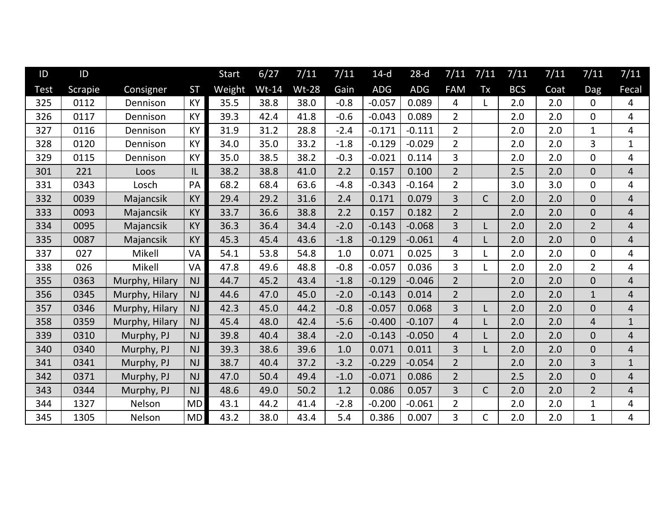| ID          | ID      |                |           | <b>Start</b> | 6/27    | 7/11         | 7/11   | $14-d$   | $28-d$     | 7/11           | 7/11         | 7/11       | 7/11 | 7/11           | 7/11           |
|-------------|---------|----------------|-----------|--------------|---------|--------------|--------|----------|------------|----------------|--------------|------------|------|----------------|----------------|
| <b>Test</b> | Scrapie | Consigner      | <b>ST</b> | Weight       | $Wt-14$ | <b>Wt-28</b> | Gain   | ADG      | <b>ADG</b> | <b>FAM</b>     | Tx           | <b>BCS</b> | Coat | Dag            | Fecal          |
| 325         | 0112    | Dennison       | <b>KY</b> | 35.5         | 38.8    | 38.0         | $-0.8$ | $-0.057$ | 0.089      | $\overline{4}$ | L            | 2.0        | 2.0  | $\overline{0}$ | $\overline{4}$ |
| 326         | 0117    | Dennison       | <b>KY</b> | 39.3         | 42.4    | 41.8         | $-0.6$ | $-0.043$ | 0.089      | $2^{\circ}$    |              | 2.0        | 2.0  | $\overline{0}$ | $\overline{4}$ |
| 327         | 0116    | Dennison       | KY        | 31.9         | 31.2    | 28.8         | $-2.4$ | $-0.171$ | $-0.111$   | $\overline{2}$ |              | 2.0        | 2.0  | $\mathbf{1}$   | 4              |
| 328         | 0120    | Dennison       | <b>KY</b> | 34.0         | 35.0    | 33.2         | $-1.8$ | $-0.129$ | $-0.029$   | $\overline{2}$ |              | 2.0        | 2.0  | 3              | $\mathbf{1}$   |
| 329         | 0115    | Dennison       | <b>KY</b> | 35.0         | 38.5    | 38.2         | $-0.3$ | $-0.021$ | 0.114      | $\overline{3}$ |              | 2.0        | 2.0  | $\overline{0}$ | $\overline{4}$ |
| 301         | 221     | Loos           | IL        | 38.2         | 38.8    | 41.0         | 2.2    | 0.157    | 0.100      | $\overline{2}$ |              | 2.5        | 2.0  | $\overline{0}$ | $\overline{4}$ |
| 331         | 0343    | Losch          | PA        | 68.2         | 68.4    | 63.6         | $-4.8$ | $-0.343$ | $-0.164$   | $\overline{2}$ |              | 3.0        | 3.0  | $\overline{0}$ | $\overline{4}$ |
| 332         | 0039    | Majancsik      | <b>KY</b> | 29.4         | 29.2    | 31.6         | 2.4    | 0.171    | 0.079      | $\overline{3}$ | $\mathsf{C}$ | 2.0        | 2.0  | $\overline{0}$ | $\overline{4}$ |
| 333         | 0093    | Majancsik      | <b>KY</b> | 33.7         | 36.6    | 38.8         | 2.2    | 0.157    | 0.182      | $\overline{2}$ |              | 2.0        | 2.0  | $\overline{0}$ | $\overline{4}$ |
| 334         | 0095    | Majancsik      | <b>KY</b> | 36.3         | 36.4    | 34.4         | $-2.0$ | $-0.143$ | $-0.068$   | $\overline{3}$ | L            | 2.0        | 2.0  | $\overline{2}$ | $\overline{4}$ |
| 335         | 0087    | Majancsik      | <b>KY</b> | 45.3         | 45.4    | 43.6         | $-1.8$ | $-0.129$ | $-0.061$   | $\overline{4}$ | L            | 2.0        | 2.0  | $\overline{0}$ | $\overline{4}$ |
| 337         | 027     | Mikell         | VA        | 54.1         | 53.8    | 54.8         | 1.0    | 0.071    | 0.025      | $\overline{3}$ |              | 2.0        | 2.0  | $\mathbf{0}$   | $\overline{4}$ |
| 338         | 026     | Mikell         | VA        | 47.8         | 49.6    | 48.8         | $-0.8$ | $-0.057$ | 0.036      | $\overline{3}$ | L            | 2.0        | 2.0  | $\overline{2}$ | $\overline{4}$ |
| 355         | 0363    | Murphy, Hilary | <b>NJ</b> | 44.7         | 45.2    | 43.4         | $-1.8$ | $-0.129$ | $-0.046$   | $\overline{2}$ |              | 2.0        | 2.0  | $\overline{0}$ | $\overline{4}$ |
| 356         | 0345    | Murphy, Hilary | <b>NJ</b> | 44.6         | 47.0    | 45.0         | $-2.0$ | $-0.143$ | 0.014      | $\overline{2}$ |              | 2.0        | 2.0  | $\mathbf{1}$   | $\overline{4}$ |
| 357         | 0346    | Murphy, Hilary | <b>NJ</b> | 42.3         | 45.0    | 44.2         | $-0.8$ | $-0.057$ | 0.068      | $\overline{3}$ | L            | 2.0        | 2.0  | $\overline{0}$ | $\overline{4}$ |
| 358         | 0359    | Murphy, Hilary | <b>NJ</b> | 45.4         | 48.0    | 42.4         | $-5.6$ | $-0.400$ | $-0.107$   | $\overline{4}$ | L            | 2.0        | 2.0  | 4              | $\mathbf{1}$   |
| 339         | 0310    | Murphy, PJ     | <b>NJ</b> | 39.8         | 40.4    | 38.4         | $-2.0$ | $-0.143$ | $-0.050$   | $\overline{4}$ | L            | 2.0        | 2.0  | $\overline{0}$ | $\overline{4}$ |
| 340         | 0340    | Murphy, PJ     | <b>NJ</b> | 39.3         | 38.6    | 39.6         | 1.0    | 0.071    | 0.011      | $\overline{3}$ | L            | 2.0        | 2.0  | $\overline{0}$ | $\overline{4}$ |
| 341         | 0341    | Murphy, PJ     | <b>NJ</b> | 38.7         | 40.4    | 37.2         | $-3.2$ | $-0.229$ | $-0.054$   | $\overline{2}$ |              | 2.0        | 2.0  | $\overline{3}$ | $\mathbf{1}$   |
| 342         | 0371    | Murphy, PJ     | <b>NJ</b> | 47.0         | 50.4    | 49.4         | $-1.0$ | $-0.071$ | 0.086      | $\overline{2}$ |              | 2.5        | 2.0  | $\overline{0}$ | $\overline{4}$ |
| 343         | 0344    | Murphy, PJ     | <b>NJ</b> | 48.6         | 49.0    | 50.2         | 1.2    | 0.086    | 0.057      | $\overline{3}$ | $\mathsf{C}$ | 2.0        | 2.0  | $\overline{2}$ | $\overline{4}$ |
| 344         | 1327    | Nelson         | <b>MD</b> | 43.1         | 44.2    | 41.4         | $-2.8$ | $-0.200$ | $-0.061$   | $\overline{2}$ |              | 2.0        | 2.0  | $\mathbf{1}$   | $\overline{4}$ |
| 345         | 1305    | Nelson         | <b>MD</b> | 43.2         | 38.0    | 43.4         | 5.4    | 0.386    | 0.007      | 3              | $\mathsf{C}$ | 2.0        | 2.0  | $\mathbf{1}$   | $\overline{4}$ |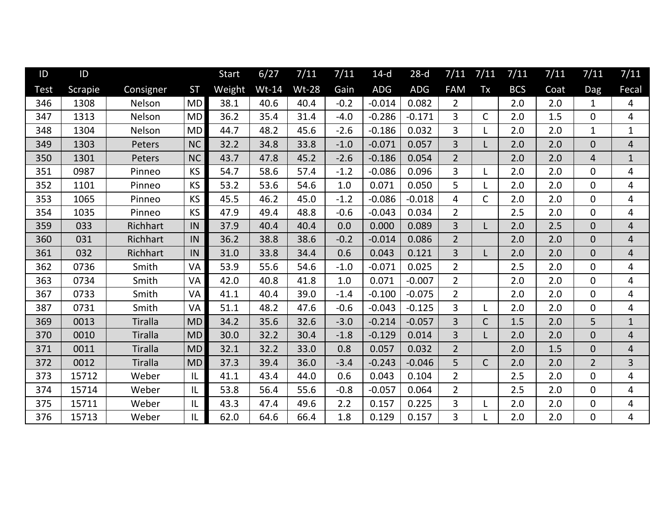| ID   | ID      |                |           | <b>Start</b> | 6/27    | 7/11         | 7/11   | $14-d$   | $28-d$   | 7/11           | 7/11         | 7/11       | 7/11 | 7/11           | 7/11           |
|------|---------|----------------|-----------|--------------|---------|--------------|--------|----------|----------|----------------|--------------|------------|------|----------------|----------------|
| Test | Scrapie | Consigner      | <b>ST</b> | Weight       | $Wt-14$ | <b>Wt-28</b> | Gain   | ADG      | ADG      | <b>FAM</b>     | Tx           | <b>BCS</b> | Coat | Dag            | Fecal          |
| 346  | 1308    | Nelson         | <b>MD</b> | 38.1         | 40.6    | 40.4         | $-0.2$ | $-0.014$ | 0.082    | $\overline{2}$ |              | 2.0        | 2.0  | 1              | 4              |
| 347  | 1313    | Nelson         | <b>MD</b> | 36.2         | 35.4    | 31.4         | $-4.0$ | $-0.286$ | $-0.171$ | $\overline{3}$ | $\mathsf{C}$ | 2.0        | 1.5  | 0              | 4              |
| 348  | 1304    | Nelson         | <b>MD</b> | 44.7         | 48.2    | 45.6         | $-2.6$ | $-0.186$ | 0.032    | 3              |              | 2.0        | 2.0  | 1              | $\mathbf{1}$   |
| 349  | 1303    | Peters         | <b>NC</b> | 32.2         | 34.8    | 33.8         | $-1.0$ | $-0.071$ | 0.057    | 3              |              | 2.0        | 2.0  | $\overline{0}$ | 4              |
| 350  | 1301    | Peters         | NC        | 43.7         | 47.8    | 45.2         | $-2.6$ | $-0.186$ | 0.054    | $\overline{2}$ |              | 2.0        | 2.0  | 4              | $\mathbf{1}$   |
| 351  | 0987    | Pinneo         | <b>KS</b> | 54.7         | 58.6    | 57.4         | $-1.2$ | $-0.086$ | 0.096    | 3              |              | 2.0        | 2.0  | $\overline{0}$ | 4              |
| 352  | 1101    | Pinneo         | <b>KS</b> | 53.2         | 53.6    | 54.6         | 1.0    | 0.071    | 0.050    | 5              |              | 2.0        | 2.0  | 0              | 4              |
| 353  | 1065    | Pinneo         | <b>KS</b> | 45.5         | 46.2    | 45.0         | $-1.2$ | $-0.086$ | $-0.018$ | 4              | $\mathsf{C}$ | 2.0        | 2.0  | 0              | 4              |
| 354  | 1035    | Pinneo         | <b>KS</b> | 47.9         | 49.4    | 48.8         | $-0.6$ | $-0.043$ | 0.034    | $\overline{2}$ |              | 2.5        | 2.0  | 0              | 4              |
| 359  | 033     | Richhart       | IN        | 37.9         | 40.4    | 40.4         | 0.0    | 0.000    | 0.089    | 3              |              | 2.0        | 2.5  | $\overline{0}$ | 4              |
| 360  | 031     | Richhart       | IN        | 36.2         | 38.8    | 38.6         | $-0.2$ | $-0.014$ | 0.086    | $\overline{2}$ |              | 2.0        | 2.0  | $\overline{0}$ | 4              |
| 361  | 032     | Richhart       | IN        | 31.0         | 33.8    | 34.4         | 0.6    | 0.043    | 0.121    | 3              |              | 2.0        | 2.0  | $\overline{0}$ | $\overline{4}$ |
| 362  | 0736    | Smith          | VA        | 53.9         | 55.6    | 54.6         | $-1.0$ | $-0.071$ | 0.025    | $\overline{2}$ |              | 2.5        | 2.0  | $\overline{0}$ | 4              |
| 363  | 0734    | Smith          | VA        | 42.0         | 40.8    | 41.8         | 1.0    | 0.071    | $-0.007$ | $\overline{2}$ |              | 2.0        | 2.0  | $\overline{0}$ | $\overline{4}$ |
| 367  | 0733    | Smith          | VA        | 41.1         | 40.4    | 39.0         | $-1.4$ | $-0.100$ | $-0.075$ | $\overline{2}$ |              | 2.0        | 2.0  | 0              | 4              |
| 387  | 0731    | Smith          | VA        | 51.1         | 48.2    | 47.6         | $-0.6$ | $-0.043$ | $-0.125$ | 3              |              | 2.0        | 2.0  | 0              | 4              |
| 369  | 0013    | <b>Tiralla</b> | <b>MD</b> | 34.2         | 35.6    | 32.6         | $-3.0$ | $-0.214$ | $-0.057$ | 3              | $\mathsf{C}$ | 1.5        | 2.0  | 5              | $\mathbf{1}$   |
| 370  | 0010    | <b>Tiralla</b> | <b>MD</b> | 30.0         | 32.2    | 30.4         | $-1.8$ | $-0.129$ | 0.014    | 3              |              | 2.0        | 2.0  | $\overline{0}$ | $\overline{4}$ |
| 371  | 0011    | <b>Tiralla</b> | <b>MD</b> | 32.1         | 32.2    | 33.0         | 0.8    | 0.057    | 0.032    | $\overline{2}$ |              | 2.0        | 1.5  | $\overline{0}$ | $\overline{4}$ |
| 372  | 0012    | <b>Tiralla</b> | <b>MD</b> | 37.3         | 39.4    | 36.0         | $-3.4$ | $-0.243$ | $-0.046$ | 5              | $\mathsf{C}$ | 2.0        | 2.0  | $\overline{2}$ | 3              |
| 373  | 15712   | Weber          | IL        | 41.1         | 43.4    | 44.0         | 0.6    | 0.043    | 0.104    | $\overline{2}$ |              | 2.5        | 2.0  | $\overline{0}$ | 4              |
| 374  | 15714   | Weber          | IL        | 53.8         | 56.4    | 55.6         | $-0.8$ | $-0.057$ | 0.064    | $\overline{2}$ |              | 2.5        | 2.0  | 0              | 4              |
| 375  | 15711   | Weber          | IL        | 43.3         | 47.4    | 49.6         | 2.2    | 0.157    | 0.225    | 3              |              | 2.0        | 2.0  | 0              | 4              |
| 376  | 15713   | Weber          | IL        | 62.0         | 64.6    | 66.4         | 1.8    | 0.129    | 0.157    | 3              |              | 2.0        | 2.0  | 0              | 4              |